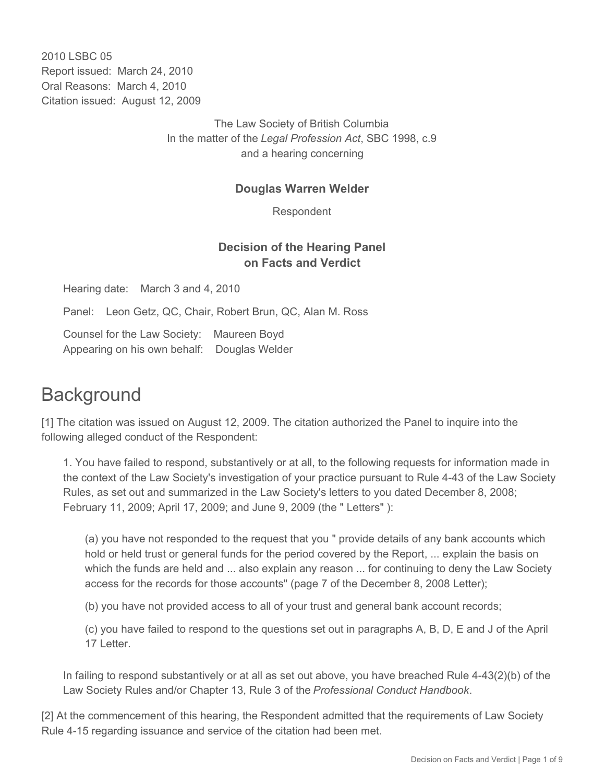2010 LSBC 05 Report issued: March 24, 2010 Oral Reasons: March 4, 2010 Citation issued: August 12, 2009

> The Law Society of British Columbia In the matter of the *Legal Profession Act*, SBC 1998, c.9 and a hearing concerning

### **Douglas Warren Welder**

Respondent

## **Decision of the Hearing Panel on Facts and Verdict**

Hearing date: March 3 and 4, 2010

Panel: Leon Getz, QC, Chair, Robert Brun, QC, Alan M. Ross

Counsel for the Law Society: Maureen Boyd Appearing on his own behalf: Douglas Welder

## **Background**

[1] The citation was issued on August 12, 2009. The citation authorized the Panel to inquire into the following alleged conduct of the Respondent:

1. You have failed to respond, substantively or at all, to the following requests for information made in the context of the Law Society's investigation of your practice pursuant to Rule 4-43 of the Law Society Rules, as set out and summarized in the Law Society's letters to you dated December 8, 2008; February 11, 2009; April 17, 2009; and June 9, 2009 (the " Letters" ):

(a) you have not responded to the request that you " provide details of any bank accounts which hold or held trust or general funds for the period covered by the Report, ... explain the basis on which the funds are held and ... also explain any reason ... for continuing to deny the Law Society access for the records for those accounts" (page 7 of the December 8, 2008 Letter);

(b) you have not provided access to all of your trust and general bank account records;

(c) you have failed to respond to the questions set out in paragraphs A, B, D, E and J of the April 17 Letter.

In failing to respond substantively or at all as set out above, you have breached Rule 4-43(2)(b) of the Law Society Rules and/or Chapter 13, Rule 3 of the *Professional Conduct Handbook*.

[2] At the commencement of this hearing, the Respondent admitted that the requirements of Law Society Rule 4-15 regarding issuance and service of the citation had been met.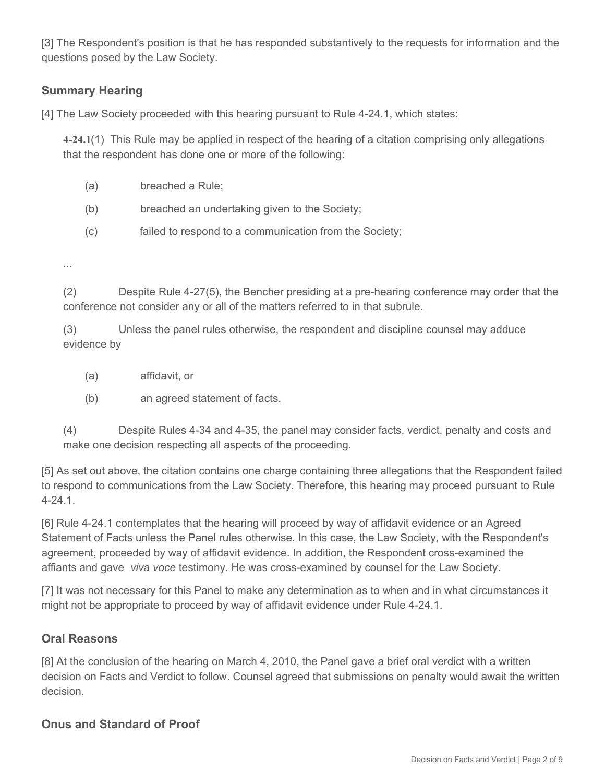[3] The Respondent's position is that he has responded substantively to the requests for information and the questions posed by the Law Society.

### **Summary Hearing**

[4] The Law Society proceeded with this hearing pursuant to Rule 4-24.1, which states:

**4-24.1**(1) This Rule may be applied in respect of the hearing of a citation comprising only allegations that the respondent has done one or more of the following:

- (a) breached a Rule;
- (b) breached an undertaking given to the Society;
- (c) failed to respond to a communication from the Society;

...

(2) Despite Rule 4-27(5), the Bencher presiding at a pre-hearing conference may order that the conference not consider any or all of the matters referred to in that subrule.

(3) Unless the panel rules otherwise, the respondent and discipline counsel may adduce evidence by

- (a) affidavit, or
- (b) an agreed statement of facts.

(4) Despite Rules 4-34 and 4-35, the panel may consider facts, verdict, penalty and costs and make one decision respecting all aspects of the proceeding.

[5] As set out above, the citation contains one charge containing three allegations that the Respondent failed to respond to communications from the Law Society. Therefore, this hearing may proceed pursuant to Rule 4-24.1.

[6] Rule 4-24.1 contemplates that the hearing will proceed by way of affidavit evidence or an Agreed Statement of Facts unless the Panel rules otherwise. In this case, the Law Society, with the Respondent's agreement, proceeded by way of affidavit evidence. In addition, the Respondent cross-examined the affiants and gave *viva voce* testimony. He was cross-examined by counsel for the Law Society.

[7] It was not necessary for this Panel to make any determination as to when and in what circumstances it might not be appropriate to proceed by way of affidavit evidence under Rule 4-24.1.

### **Oral Reasons**

[8] At the conclusion of the hearing on March 4, 2010, the Panel gave a brief oral verdict with a written decision on Facts and Verdict to follow. Counsel agreed that submissions on penalty would await the written decision.

### **Onus and Standard of Proof**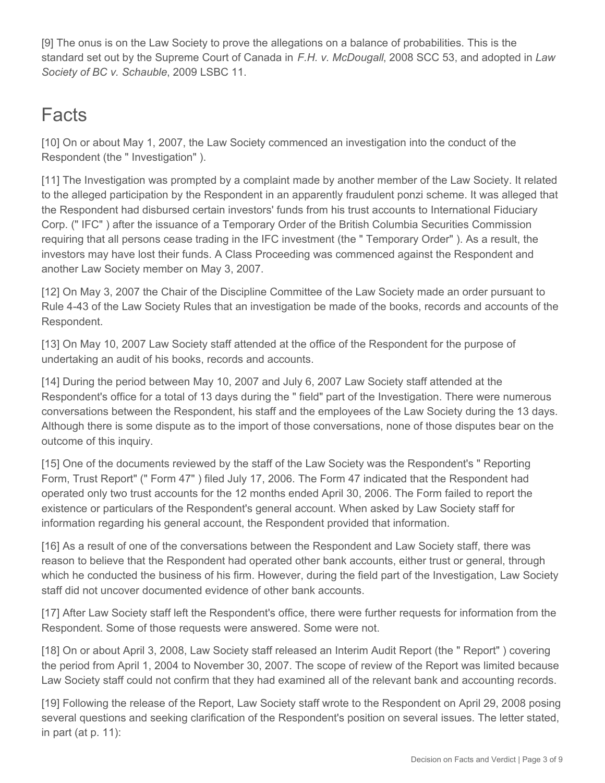[9] The onus is on the Law Society to prove the allegations on a balance of probabilities. This is the standard set out by the Supreme Court of Canada in *F.H. v. McDougall*, 2008 SCC 53, and adopted in *Law Society of BC v. Schauble*, 2009 LSBC 11.

# **Facts**

[10] On or about May 1, 2007, the Law Society commenced an investigation into the conduct of the Respondent (the " Investigation" ).

[11] The Investigation was prompted by a complaint made by another member of the Law Society. It related to the alleged participation by the Respondent in an apparently fraudulent ponzi scheme. It was alleged that the Respondent had disbursed certain investors' funds from his trust accounts to International Fiduciary Corp. (" IFC" ) after the issuance of a Temporary Order of the British Columbia Securities Commission requiring that all persons cease trading in the IFC investment (the " Temporary Order" ). As a result, the investors may have lost their funds. A Class Proceeding was commenced against the Respondent and another Law Society member on May 3, 2007.

[12] On May 3, 2007 the Chair of the Discipline Committee of the Law Society made an order pursuant to Rule 4-43 of the Law Society Rules that an investigation be made of the books, records and accounts of the Respondent.

[13] On May 10, 2007 Law Society staff attended at the office of the Respondent for the purpose of undertaking an audit of his books, records and accounts.

[14] During the period between May 10, 2007 and July 6, 2007 Law Society staff attended at the Respondent's office for a total of 13 days during the " field" part of the Investigation. There were numerous conversations between the Respondent, his staff and the employees of the Law Society during the 13 days. Although there is some dispute as to the import of those conversations, none of those disputes bear on the outcome of this inquiry.

[15] One of the documents reviewed by the staff of the Law Society was the Respondent's " Reporting Form, Trust Report" (" Form 47" ) filed July 17, 2006. The Form 47 indicated that the Respondent had operated only two trust accounts for the 12 months ended April 30, 2006. The Form failed to report the existence or particulars of the Respondent's general account. When asked by Law Society staff for information regarding his general account, the Respondent provided that information.

[16] As a result of one of the conversations between the Respondent and Law Society staff, there was reason to believe that the Respondent had operated other bank accounts, either trust or general, through which he conducted the business of his firm. However, during the field part of the Investigation, Law Society staff did not uncover documented evidence of other bank accounts.

[17] After Law Society staff left the Respondent's office, there were further requests for information from the Respondent. Some of those requests were answered. Some were not.

[18] On or about April 3, 2008, Law Society staff released an Interim Audit Report (the " Report" ) covering the period from April 1, 2004 to November 30, 2007. The scope of review of the Report was limited because Law Society staff could not confirm that they had examined all of the relevant bank and accounting records.

[19] Following the release of the Report, Law Society staff wrote to the Respondent on April 29, 2008 posing several questions and seeking clarification of the Respondent's position on several issues. The letter stated, in part (at  $p. 11$ ):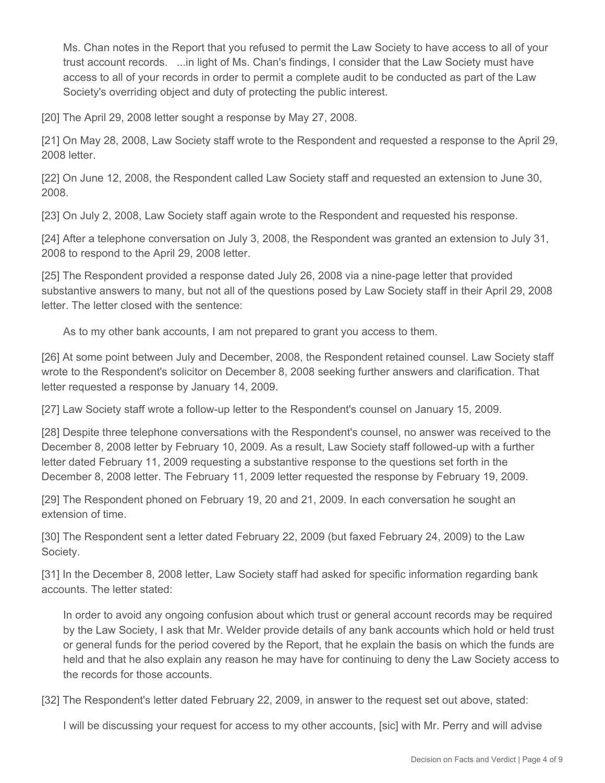Ms. Chan notes in the Report that you refused to permit the Law Society to have access to all of your trust account records. ...in light of Ms. Chan's findings, I consider that the Law Society must have access to all of your records in order to permit a complete audit to be conducted as part of the Law Society's overriding object and duty of protecting the public interest.

[20] The April 29, 2008 letter sought a response by May 27, 2008.

[21] On May 28, 2008, Law Society staff wrote to the Respondent and requested a response to the April 29, 2008 letter.

[22] On June 12, 2008, the Respondent called Law Society staff and requested an extension to June 30, 2008.

[23] On July 2, 2008, Law Society staff again wrote to the Respondent and requested his response.

[24] After a telephone conversation on July 3, 2008, the Respondent was granted an extension to July 31, 2008 to respond to the April 29, 2008 letter.

[25] The Respondent provided a response dated July 26, 2008 via a nine-page letter that provided substantive answers to many, but not all of the questions posed by Law Society staff in their April 29, 2008 letter. The letter closed with the sentence:

As to my other bank accounts, I am not prepared to grant you access to them.

[26] At some point between July and December, 2008, the Respondent retained counsel. Law Society staff wrote to the Respondent's solicitor on December 8, 2008 seeking further answers and clarification. That letter requested a response by January 14, 2009.

[27] Law Society staff wrote a follow-up letter to the Respondent's counsel on January 15, 2009.

[28] Despite three telephone conversations with the Respondent's counsel, no answer was received to the December 8, 2008 letter by February 10, 2009. As a result, Law Society staff followed-up with a further letter dated February 11, 2009 requesting a substantive response to the questions set forth in the December 8, 2008 letter. The February 11, 2009 letter requested the response by February 19, 2009.

[29] The Respondent phoned on February 19, 20 and 21, 2009. In each conversation he sought an extension of time.

[30] The Respondent sent a letter dated February 22, 2009 (but faxed February 24, 2009) to the Law Society.

[31] In the December 8, 2008 letter, Law Society staff had asked for specific information regarding bank accounts. The letter stated:

In order to avoid any ongoing confusion about which trust or general account records may be required by the Law Society, I ask that Mr. Welder provide details of any bank accounts which hold or held trust or general funds for the period covered by the Report, that he explain the basis on which the funds are held and that he also explain any reason he may have for continuing to deny the Law Society access to the records for those accounts.

[32] The Respondent's letter dated February 22, 2009, in answer to the request set out above, stated:

I will be discussing your request for access to my other accounts, [sic] with Mr. Perry and will advise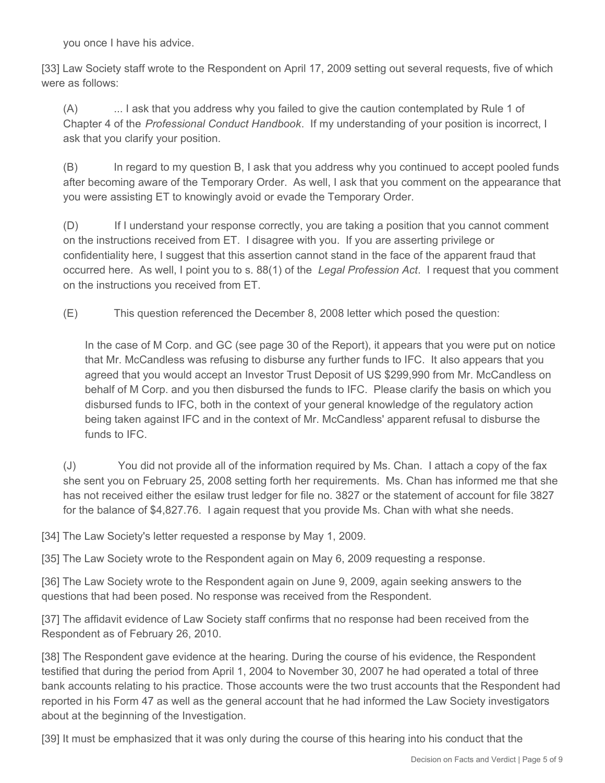you once I have his advice.

[33] Law Society staff wrote to the Respondent on April 17, 2009 setting out several requests, five of which were as follows:

(A) ... I ask that you address why you failed to give the caution contemplated by Rule 1 of Chapter 4 of the *Professional Conduct Handbook*. If my understanding of your position is incorrect, I ask that you clarify your position.

(B) In regard to my question B, I ask that you address why you continued to accept pooled funds after becoming aware of the Temporary Order. As well, I ask that you comment on the appearance that you were assisting ET to knowingly avoid or evade the Temporary Order.

(D) If I understand your response correctly, you are taking a position that you cannot comment on the instructions received from ET. I disagree with you. If you are asserting privilege or confidentiality here, I suggest that this assertion cannot stand in the face of the apparent fraud that occurred here. As well, I point you to s. 88(1) of the *Legal Profession Act*. I request that you comment on the instructions you received from ET.

(E) This question referenced the December 8, 2008 letter which posed the question:

In the case of M Corp. and GC (see page 30 of the Report), it appears that you were put on notice that Mr. McCandless was refusing to disburse any further funds to IFC. It also appears that you agreed that you would accept an Investor Trust Deposit of US \$299,990 from Mr. McCandless on behalf of M Corp. and you then disbursed the funds to IFC. Please clarify the basis on which you disbursed funds to IFC, both in the context of your general knowledge of the regulatory action being taken against IFC and in the context of Mr. McCandless' apparent refusal to disburse the funds to IFC.

(J) You did not provide all of the information required by Ms. Chan. I attach a copy of the fax she sent you on February 25, 2008 setting forth her requirements. Ms. Chan has informed me that she has not received either the esilaw trust ledger for file no. 3827 or the statement of account for file 3827 for the balance of \$4,827.76. I again request that you provide Ms. Chan with what she needs.

[34] The Law Society's letter requested a response by May 1, 2009.

[35] The Law Society wrote to the Respondent again on May 6, 2009 requesting a response.

[36] The Law Society wrote to the Respondent again on June 9, 2009, again seeking answers to the questions that had been posed. No response was received from the Respondent.

[37] The affidavit evidence of Law Society staff confirms that no response had been received from the Respondent as of February 26, 2010.

[38] The Respondent gave evidence at the hearing. During the course of his evidence, the Respondent testified that during the period from April 1, 2004 to November 30, 2007 he had operated a total of three bank accounts relating to his practice. Those accounts were the two trust accounts that the Respondent had reported in his Form 47 as well as the general account that he had informed the Law Society investigators about at the beginning of the Investigation.

[39] It must be emphasized that it was only during the course of this hearing into his conduct that the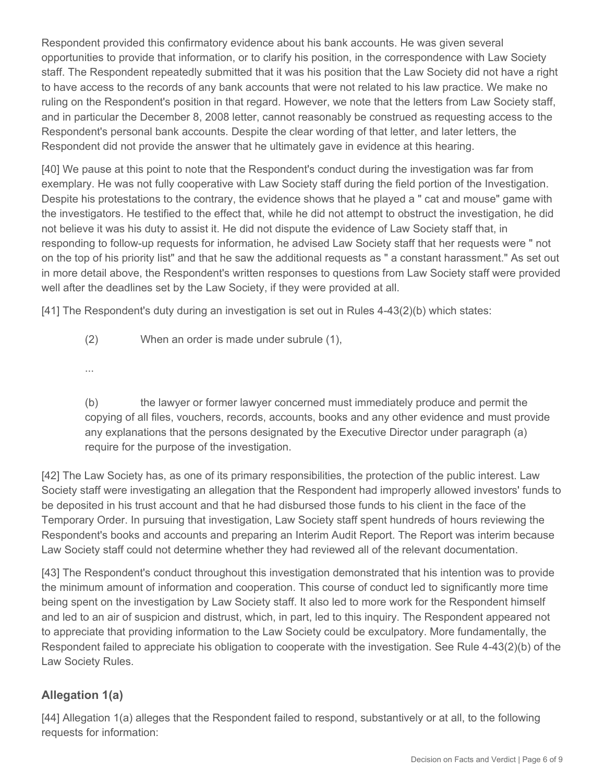Respondent provided this confirmatory evidence about his bank accounts. He was given several opportunities to provide that information, or to clarify his position, in the correspondence with Law Society staff. The Respondent repeatedly submitted that it was his position that the Law Society did not have a right to have access to the records of any bank accounts that were not related to his law practice. We make no ruling on the Respondent's position in that regard. However, we note that the letters from Law Society staff, and in particular the December 8, 2008 letter, cannot reasonably be construed as requesting access to the Respondent's personal bank accounts. Despite the clear wording of that letter, and later letters, the Respondent did not provide the answer that he ultimately gave in evidence at this hearing.

[40] We pause at this point to note that the Respondent's conduct during the investigation was far from exemplary. He was not fully cooperative with Law Society staff during the field portion of the Investigation. Despite his protestations to the contrary, the evidence shows that he played a " cat and mouse" game with the investigators. He testified to the effect that, while he did not attempt to obstruct the investigation, he did not believe it was his duty to assist it. He did not dispute the evidence of Law Society staff that, in responding to follow-up requests for information, he advised Law Society staff that her requests were " not on the top of his priority list" and that he saw the additional requests as " a constant harassment." As set out in more detail above, the Respondent's written responses to questions from Law Society staff were provided well after the deadlines set by the Law Society, if they were provided at all.

[41] The Respondent's duty during an investigation is set out in Rules 4-43(2)(b) which states:

(2) When an order is made under subrule (1),

...

(b) the lawyer or former lawyer concerned must immediately produce and permit the copying of all files, vouchers, records, accounts, books and any other evidence and must provide any explanations that the persons designated by the Executive Director under paragraph (a) require for the purpose of the investigation.

[42] The Law Society has, as one of its primary responsibilities, the protection of the public interest. Law Society staff were investigating an allegation that the Respondent had improperly allowed investors' funds to be deposited in his trust account and that he had disbursed those funds to his client in the face of the Temporary Order. In pursuing that investigation, Law Society staff spent hundreds of hours reviewing the Respondent's books and accounts and preparing an Interim Audit Report. The Report was interim because Law Society staff could not determine whether they had reviewed all of the relevant documentation.

[43] The Respondent's conduct throughout this investigation demonstrated that his intention was to provide the minimum amount of information and cooperation. This course of conduct led to significantly more time being spent on the investigation by Law Society staff. It also led to more work for the Respondent himself and led to an air of suspicion and distrust, which, in part, led to this inquiry. The Respondent appeared not to appreciate that providing information to the Law Society could be exculpatory. More fundamentally, the Respondent failed to appreciate his obligation to cooperate with the investigation. See Rule 4-43(2)(b) of the Law Society Rules.

## **Allegation 1(a)**

[44] Allegation 1(a) alleges that the Respondent failed to respond, substantively or at all, to the following requests for information: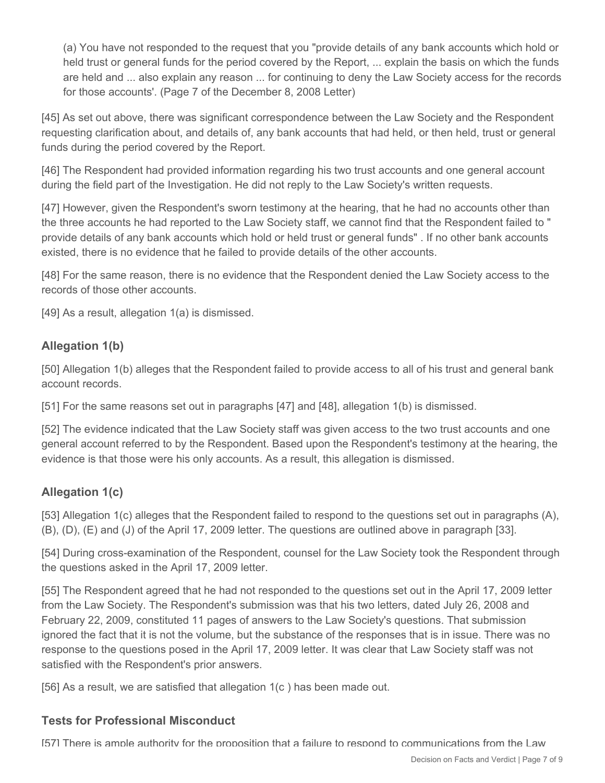(a) You have not responded to the request that you "provide details of any bank accounts which hold or held trust or general funds for the period covered by the Report, ... explain the basis on which the funds are held and ... also explain any reason ... for continuing to deny the Law Society access for the records for those accounts'. (Page 7 of the December 8, 2008 Letter)

[45] As set out above, there was significant correspondence between the Law Society and the Respondent requesting clarification about, and details of, any bank accounts that had held, or then held, trust or general funds during the period covered by the Report.

[46] The Respondent had provided information regarding his two trust accounts and one general account during the field part of the Investigation. He did not reply to the Law Society's written requests.

[47] However, given the Respondent's sworn testimony at the hearing, that he had no accounts other than the three accounts he had reported to the Law Society staff, we cannot find that the Respondent failed to " provide details of any bank accounts which hold or held trust or general funds" . If no other bank accounts existed, there is no evidence that he failed to provide details of the other accounts.

[48] For the same reason, there is no evidence that the Respondent denied the Law Society access to the records of those other accounts.

[49] As a result, allegation 1(a) is dismissed.

### **Allegation 1(b)**

[50] Allegation 1(b) alleges that the Respondent failed to provide access to all of his trust and general bank account records.

[51] For the same reasons set out in paragraphs [47] and [48], allegation 1(b) is dismissed.

[52] The evidence indicated that the Law Society staff was given access to the two trust accounts and one general account referred to by the Respondent. Based upon the Respondent's testimony at the hearing, the evidence is that those were his only accounts. As a result, this allegation is dismissed.

## **Allegation 1(c)**

[53] Allegation 1(c) alleges that the Respondent failed to respond to the questions set out in paragraphs (A), (B), (D), (E) and (J) of the April 17, 2009 letter. The questions are outlined above in paragraph [33].

[54] During cross-examination of the Respondent, counsel for the Law Society took the Respondent through the questions asked in the April 17, 2009 letter.

[55] The Respondent agreed that he had not responded to the questions set out in the April 17, 2009 letter from the Law Society. The Respondent's submission was that his two letters, dated July 26, 2008 and February 22, 2009, constituted 11 pages of answers to the Law Society's questions. That submission ignored the fact that it is not the volume, but the substance of the responses that is in issue. There was no response to the questions posed in the April 17, 2009 letter. It was clear that Law Society staff was not satisfied with the Respondent's prior answers.

[56] As a result, we are satisfied that allegation 1(c ) has been made out.

### **Tests for Professional Misconduct**

[57] There is ample authority for the proposition that a failure to respond to communications from the Law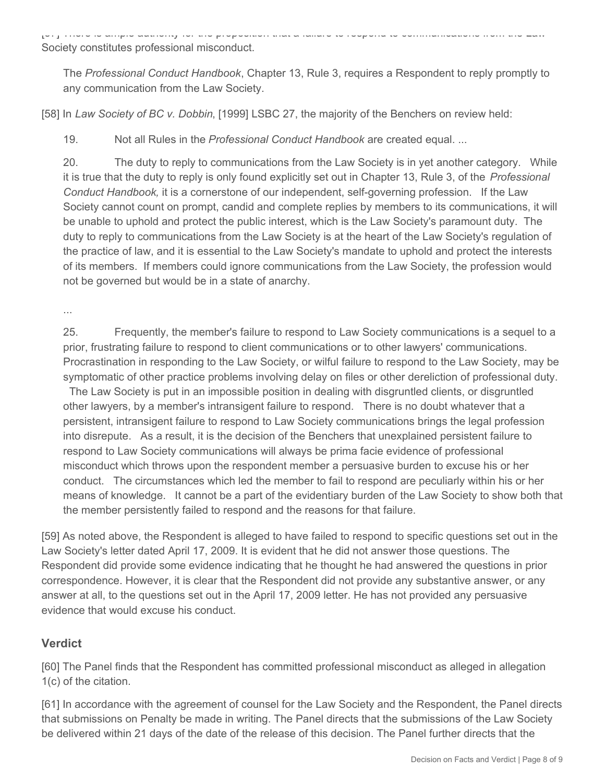[57] There is ample authority for the proposition that a failure to respond to communications from the Law Society constitutes professional misconduct.

The *Professional Conduct Handbook*, Chapter 13, Rule 3, requires a Respondent to reply promptly to any communication from the Law Society.

[58] In *Law Society of BC v. Dobbin*, [1999] LSBC 27, the majority of the Benchers on review held:

19. Not all Rules in the *Professional Conduct Handbook* are created equal. ...

20. The duty to reply to communications from the Law Society is in yet another category. While it is true that the duty to reply is only found explicitly set out in Chapter 13, Rule 3, of the *Professional Conduct Handbook,* it is a cornerstone of our independent, self-governing profession. If the Law Society cannot count on prompt, candid and complete replies by members to its communications, it will be unable to uphold and protect the public interest, which is the Law Society's paramount duty. The duty to reply to communications from the Law Society is at the heart of the Law Society's regulation of the practice of law, and it is essential to the Law Society's mandate to uphold and protect the interests of its members. If members could ignore communications from the Law Society, the profession would not be governed but would be in a state of anarchy.

...

25. Frequently, the member's failure to respond to Law Society communications is a sequel to a prior, frustrating failure to respond to client communications or to other lawyers' communications. Procrastination in responding to the Law Society, or wilful failure to respond to the Law Society, may be symptomatic of other practice problems involving delay on files or other dereliction of professional duty.

 The Law Society is put in an impossible position in dealing with disgruntled clients, or disgruntled other lawyers, by a member's intransigent failure to respond. There is no doubt whatever that a persistent, intransigent failure to respond to Law Society communications brings the legal profession into disrepute. As a result, it is the decision of the Benchers that unexplained persistent failure to respond to Law Society communications will always be prima facie evidence of professional misconduct which throws upon the respondent member a persuasive burden to excuse his or her conduct. The circumstances which led the member to fail to respond are peculiarly within his or her means of knowledge. It cannot be a part of the evidentiary burden of the Law Society to show both that the member persistently failed to respond and the reasons for that failure.

[59] As noted above, the Respondent is alleged to have failed to respond to specific questions set out in the Law Society's letter dated April 17, 2009. It is evident that he did not answer those questions. The Respondent did provide some evidence indicating that he thought he had answered the questions in prior correspondence. However, it is clear that the Respondent did not provide any substantive answer, or any answer at all, to the questions set out in the April 17, 2009 letter. He has not provided any persuasive evidence that would excuse his conduct.

### **Verdict**

[60] The Panel finds that the Respondent has committed professional misconduct as alleged in allegation 1(c) of the citation.

[61] In accordance with the agreement of counsel for the Law Society and the Respondent, the Panel directs that submissions on Penalty be made in writing. The Panel directs that the submissions of the Law Society be delivered within 21 days of the date of the release of this decision. The Panel further directs that the